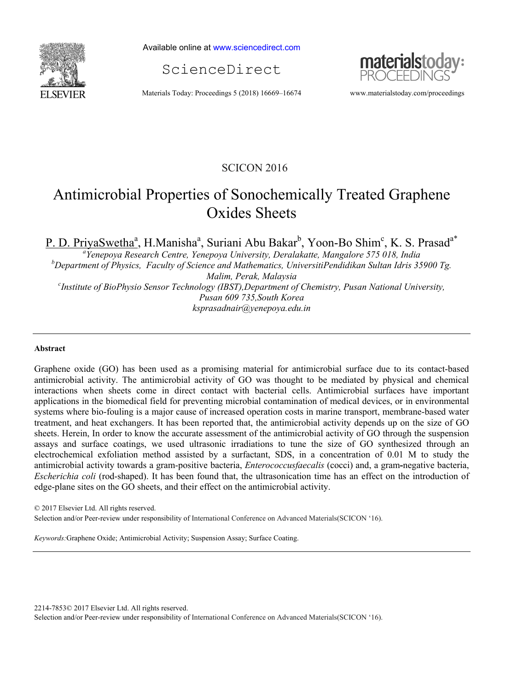

Available online at www.sciencedirect.com



materialsto

Materials Today: Proceedings 5 (2018) 16669–16674 www.materialstoday.com/proceedings

## SCICON 2016

# Antimicrobial Properties of Sonochemically Treated Graphene Oxides Sheets

P. D. PriyaSwetha<sup>a</sup>, H.Manisha<sup>a</sup>, Suriani Abu Bakar<sup>b</sup>, Yoon-Bo Shim<sup>c</sup>, K. S. Prasad<sup>a\*</sup>

*a Yenepoya Research Centre, Yenepoya University, Deralakatte, Mangalore 575 018, India b Department of Physics, Faculty of Science and Mathematics, UniversitiPendidikan Sultan Idris 35900 Tg. Malim, Perak, Malaysia c Institute of BioPhysio Sensor Technology (IBST),Department of Chemistry, Pusan National University, Pusan 609 735,South Korea ksprasadnair@yenepoya.edu.in* 

### **Abstract**

Graphene oxide (GO) has been used as a promising material for antimicrobial surface due to its contact-based antimicrobial activity. The antimicrobial activity of GO was thought to be mediated by physical and chemical interactions when sheets come in direct contact with bacterial cells. Antimicrobial surfaces have important applications in the biomedical field for preventing microbial contamination of medical devices, or in environmental systems where bio-fouling is a major cause of increased operation costs in marine transport, membrane-based water treatment, and heat exchangers. It has been reported that, the antimicrobial activity depends up on the size of GO sheets. Herein, In order to know the accurate assessment of the antimicrobial activity of GO through the suspension assays and surface coatings, we used ultrasonic irradiations to tune the size of GO synthesized through an electrochemical exfoliation method assisted by a surfactant, SDS, in a concentration of 0.01 M to study the antimicrobial activity towards a gram-positive bacteria, *Enterococcusfaecalis* (cocci) and, a gram**-**negative bacteria, *Escherichia coli* (rod-shaped). It has been found that, the ultrasonication time has an effect on the introduction of edge-plane sites on the GO sheets, and their effect on the antimicrobial activity.

© 2017 Elsevier Ltd. All rights reserved.

Selection and/or Peer-review under responsibility of International Conference on Advanced Materials(SCICON '16).

*Keywords:*Graphene Oxide; Antimicrobial Activity; Suspension Assay; Surface Coating.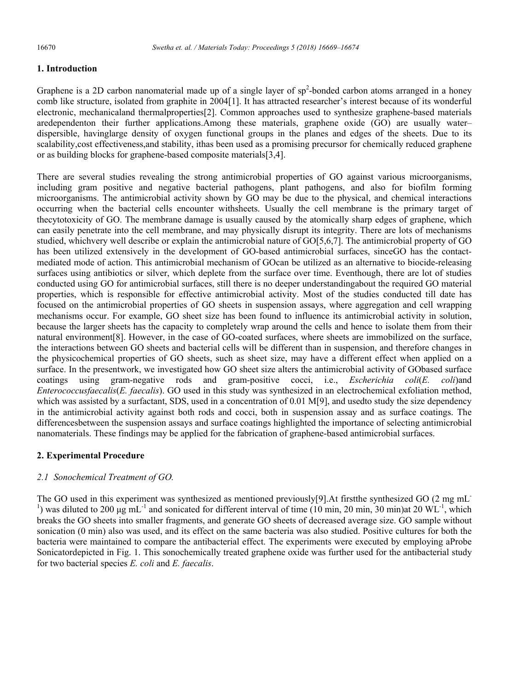### **1. Introduction**

Graphene is a 2D carbon nanomaterial made up of a single layer of  $sp^2$ -bonded carbon atoms arranged in a honey comb like structure, isolated from graphite in 2004[1]. It has attracted researcher's interest because of its wonderful electronic, mechanicaland thermalproperties[2]. Common approaches used to synthesize graphene-based materials aredependenton their further applications.Among these materials, graphene oxide (GO) are usually water– dispersible, havinglarge density of oxygen functional groups in the planes and edges of the sheets. Due to its scalability,cost effectiveness,and stability, ithas been used as a promising precursor for chemically reduced graphene or as building blocks for graphene-based composite materials[3,4].

There are several studies revealing the strong antimicrobial properties of GO against various microorganisms, including gram positive and negative bacterial pathogens, plant pathogens, and also for biofilm forming microorganisms. The antimicrobial activity shown by GO may be due to the physical, and chemical interactions occurring when the bacterial cells encounter withsheets. Usually the cell membrane is the primary target of thecytotoxicity of GO. The membrane damage is usually caused by the atomically sharp edges of graphene, which can easily penetrate into the cell membrane, and may physically disrupt its integrity. There are lots of mechanisms studied, whichvery well describe or explain the antimicrobial nature of GO[5,6,7]. The antimicrobial property of GO has been utilized extensively in the development of GO-based antimicrobial surfaces, sinceGO has the contactmediated mode of action. This antimicrobial mechanism of GOcan be utilized as an alternative to biocide-releasing surfaces using antibiotics or silver, which deplete from the surface over time. Eventhough, there are lot of studies conducted using GO for antimicrobial surfaces, still there is no deeper understandingabout the required GO material properties, which is responsible for effective antimicrobial activity. Most of the studies conducted till date has focused on the antimicrobial properties of GO sheets in suspension assays, where aggregation and cell wrapping mechanisms occur. For example, GO sheet size has been found to influence its antimicrobial activity in solution, because the larger sheets has the capacity to completely wrap around the cells and hence to isolate them from their natural environment[8]. However, in the case of GO-coated surfaces, where sheets are immobilized on the surface, the interactions between GO sheets and bacterial cells will be different than in suspension, and therefore changes in the physicochemical properties of GO sheets, such as sheet size, may have a different effect when applied on a surface. In the presentwork, we investigated how GO sheet size alters the antimicrobial activity of GObased surface coatings using gram-negative rods and gram-positive cocci, i.e., *Escherichia coli*(*E. coli*)and *Enterococcusfaecalis*(*E. faecalis*). GO used in this study was synthesized in an electrochemical exfoliation method, which was assisted by a surfactant, SDS, used in a concentration of 0.01 M[9], and usedto study the size dependency in the antimicrobial activity against both rods and cocci, both in suspension assay and as surface coatings. The differencesbetween the suspension assays and surface coatings highlighted the importance of selecting antimicrobial nanomaterials. These findings may be applied for the fabrication of graphene-based antimicrobial surfaces.

### **2. Experimental Procedure**

## *2.1 Sonochemical Treatment of GO.*

The GO used in this experiment was synthesized as mentioned previously[9].At firstthe synthesized GO (2 mg mL-<sup>1</sup>) was diluted to 200 µg mL<sup>-1</sup> and sonicated for different interval of time (10 min, 20 min, 30 min)at 20 WL<sup>-1</sup>, which breaks the GO sheets into smaller fragments, and generate GO sheets of decreased average size. GO sample without sonication (0 min) also was used, and its effect on the same bacteria was also studied. Positive cultures for both the bacteria were maintained to compare the antibacterial effect. The experiments were executed by employing aProbe Sonicatordepicted in Fig. 1. This sonochemically treated graphene oxide was further used for the antibacterial study for two bacterial species *E. coli* and *E. faecalis*.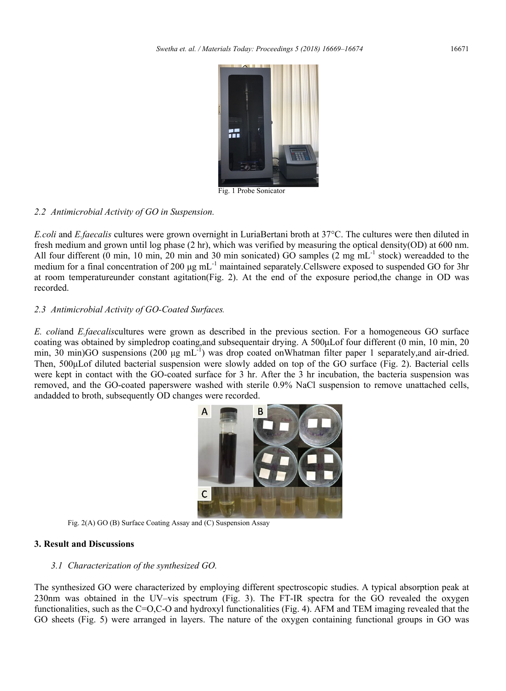

Fig. 1 Probe Sonicator

## *2.2 Antimicrobial Activity of GO in Suspension.*

*E.coli* and *E.faecalis* cultures were grown overnight in LuriaBertani broth at 37°C. The cultures were then diluted in fresh medium and grown until log phase (2 hr), which was verified by measuring the optical density(OD) at 600 nm. All four different (0 min, 10 min, 20 min and 30 min sonicated) GO samples (2 mg mL<sup>-1</sup> stock) wereadded to the medium for a final concentration of 200 μg mL<sup>-1</sup> maintained separately.Cellswere exposed to suspended GO for 3hr at room temperatureunder constant agitation(Fig. 2). At the end of the exposure period,the change in OD was recorded.

## *2.3 Antimicrobial Activity of GO-Coated Surfaces.*

*E. coli*and *E.faecalis*cultures were grown as described in the previous section. For a homogeneous GO surface coating was obtained by simpledrop coating,and subsequentair drying. A 500μLof four different (0 min, 10 min, 20 min, 30 min)GO suspensions (200  $\mu$ g mL<sup>-1</sup>) was drop coated onWhatman filter paper 1 separately,and air-dried. Then, 500μLof diluted bacterial suspension were slowly added on top of the GO surface (Fig. 2). Bacterial cells were kept in contact with the GO-coated surface for 3 hr. After the 3 hr incubation, the bacteria suspension was removed, and the GO-coated paperswere washed with sterile 0.9% NaCl suspension to remove unattached cells, andadded to broth, subsequently OD changes were recorded.



Fig. 2(A) GO (B) Surface Coating Assay and (C) Suspension Assay

## **3. Result and Discussions**

## *3.1 Characterization of the synthesized GO.*

The synthesized GO were characterized by employing different spectroscopic studies. A typical absorption peak at 230nm was obtained in the UV–vis spectrum (Fig. 3). The FT-IR spectra for the GO revealed the oxygen functionalities, such as the C=O,C-O and hydroxyl functionalities (Fig. 4). AFM and TEM imaging revealed that the GO sheets (Fig. 5) were arranged in layers. The nature of the oxygen containing functional groups in GO was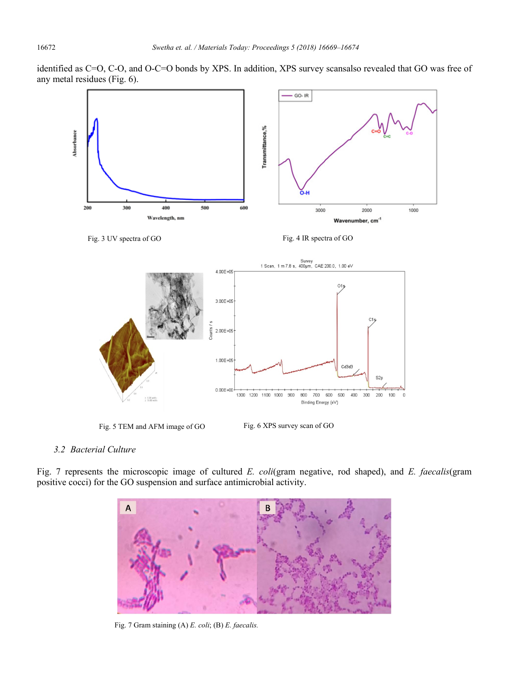identified as C=O, C-O, and O-C=O bonds by XPS. In addition, XPS survey scansalso revealed that GO was free of any metal residues (Fig. 6).



Fig. 5 TEM and AFM image of GO Fig. 6 XPS survey scan of GO

#### *3.2 Bacterial Culture*

Fig. 7 represents the microscopic image of cultured *E. coli*(gram negative, rod shaped), and *E. faecalis*(gram positive cocci) for the GO suspension and surface antimicrobial activity.



Fig. 7 Gram staining (A) *E. coli*; (B) *E. faecalis.*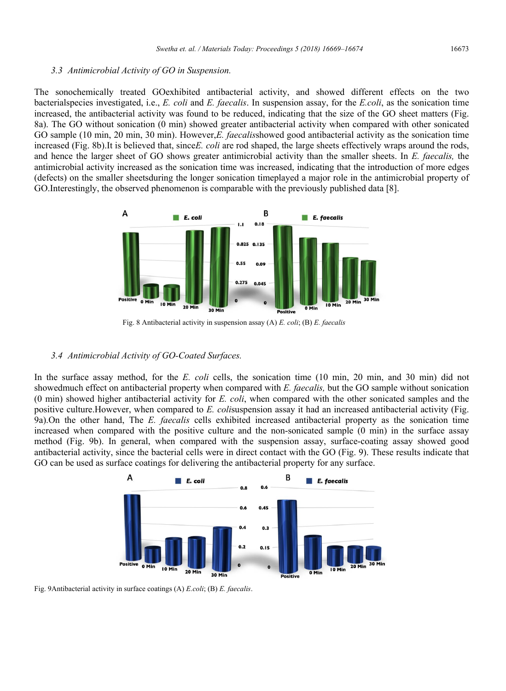#### *3.3 Antimicrobial Activity of GO in Suspension.*

The sonochemically treated GOexhibited antibacterial activity, and showed different effects on the two bacterialspecies investigated, i.e., *E. coli* and *E. faecalis*. In suspension assay, for the *E.coli*, as the sonication time increased, the antibacterial activity was found to be reduced, indicating that the size of the GO sheet matters (Fig. 8a). The GO without sonication (0 min) showed greater antibacterial activity when compared with other sonicated GO sample (10 min, 20 min, 30 min). However,*E. faecalis*showed good antibacterial activity as the sonication time increased (Fig. 8b).It is believed that, since*E. coli* are rod shaped, the large sheets effectively wraps around the rods, and hence the larger sheet of GO shows greater antimicrobial activity than the smaller sheets. In *E. faecalis,* the antimicrobial activity increased as the sonication time was increased, indicating that the introduction of more edges (defects) on the smaller sheetsduring the longer sonication timeplayed a major role in the antimicrobial property of GO.Interestingly, the observed phenomenon is comparable with the previously published data [8].



Fig. 8 Antibacterial activity in suspension assay (A) *E. coli*; (B) *E. faecalis*

#### *3.4 Antimicrobial Activity of GO-Coated Surfaces.*

In the surface assay method, for the *E. coli* cells, the sonication time (10 min, 20 min, and 30 min) did not showedmuch effect on antibacterial property when compared with *E. faecalis,* but the GO sample without sonication (0 min) showed higher antibacterial activity for *E. coli*, when compared with the other sonicated samples and the positive culture.However, when compared to *E. coli*suspension assay it had an increased antibacterial activity (Fig. 9a).On the other hand, The *E. faecalis* cells exhibited increased antibacterial property as the sonication time increased when compared with the positive culture and the non-sonicated sample (0 min) in the surface assay method (Fig. 9b). In general, when compared with the suspension assay, surface-coating assay showed good antibacterial activity, since the bacterial cells were in direct contact with the GO (Fig. 9). These results indicate that GO can be used as surface coatings for delivering the antibacterial property for any surface.



Fig. 9Antibacterial activity in surface coatings (A) *E.coli*; (B) *E. faecalis*.